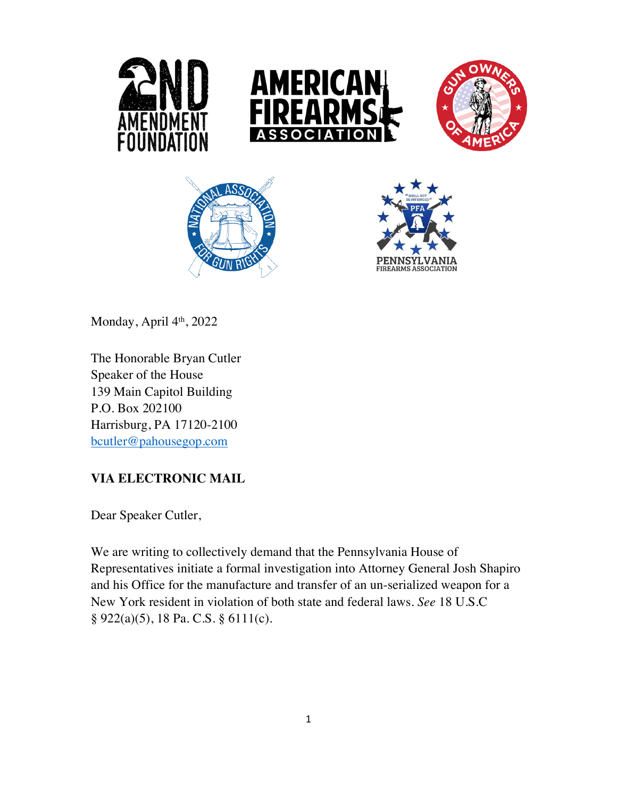









Monday, April  $4<sup>th</sup>$ , 2022

The Honorable Bryan Cutler Speaker of the House 139 Main Capitol Building P.O. Box 202100 Harrisburg, PA 17120-2100 bcutler@pahousegop.com

## **VIA ELECTRONIC MAIL**

Dear Speaker Cutler,

We are writing to collectively demand that the Pennsylvania House of Representatives initiate a formal investigation into Attorney General Josh Shapiro and his Office for the manufacture and transfer of an un-serialized weapon for a New York resident in violation of both state and federal laws. *See* 18 U.S.C § 922(a)(5), 18 Pa. C.S. § 6111(c).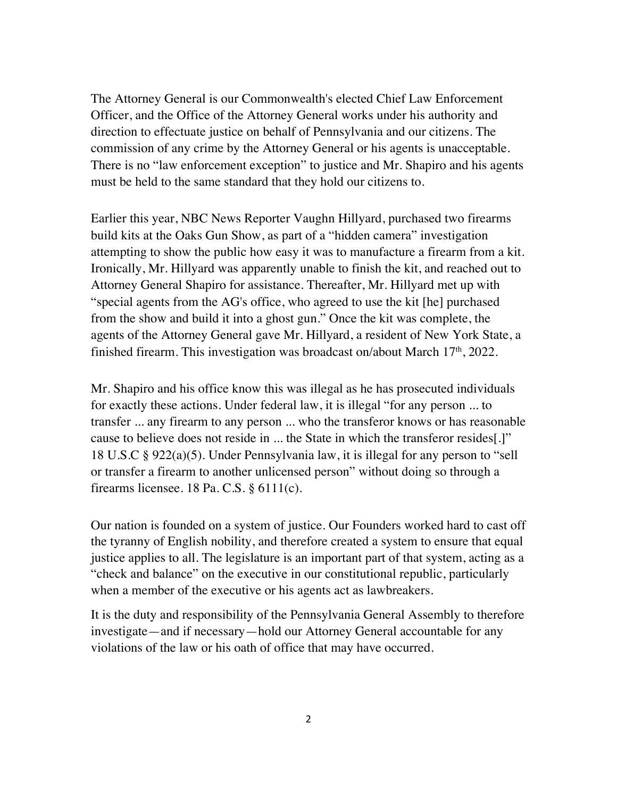The Attorney General is our Commonwealth's elected Chief Law Enforcement Officer, and the Office of the Attorney General works under his authority and direction to effectuate justice on behalf of Pennsylvania and our citizens. The commission of any crime by the Attorney General or his agents is unacceptable. There is no "law enforcement exception" to justice and Mr. Shapiro and his agents must be held to the same standard that they hold our citizens to.

Earlier this year, NBC News Reporter Vaughn Hillyard, purchased two firearms build kits at the Oaks Gun Show, as part of a "hidden camera" investigation attempting to show the public how easy it was to manufacture a firearm from a kit. Ironically, Mr. Hillyard was apparently unable to finish the kit, and reached out to Attorney General Shapiro for assistance. Thereafter, Mr. Hillyard met up with "special agents from the AG's office, who agreed to use the kit [he] purchased from the show and build it into a ghost gun." Once the kit was complete, the agents of the Attorney General gave Mr. Hillyard, a resident of New York State, a finished firearm. This investigation was broadcast on/about March  $17<sup>th</sup>$ , 2022.

Mr. Shapiro and his office know this was illegal as he has prosecuted individuals for exactly these actions. Under federal law, it is illegal "for any person ... to transfer ... any firearm to any person ... who the transferor knows or has reasonable cause to believe does not reside in ... the State in which the transferor resides[.]" 18 U.S.C § 922(a)(5). Under Pennsylvania law, it is illegal for any person to "sell or transfer a firearm to another unlicensed person" without doing so through a firearms licensee. 18 Pa. C.S. § 6111(c).

Our nation is founded on a system of justice. Our Founders worked hard to cast off the tyranny of English nobility, and therefore created a system to ensure that equal justice applies to all. The legislature is an important part of that system, acting as a "check and balance" on the executive in our constitutional republic, particularly when a member of the executive or his agents act as lawbreakers.

It is the duty and responsibility of the Pennsylvania General Assembly to therefore investigate—and if necessary—hold our Attorney General accountable for any violations of the law or his oath of office that may have occurred.